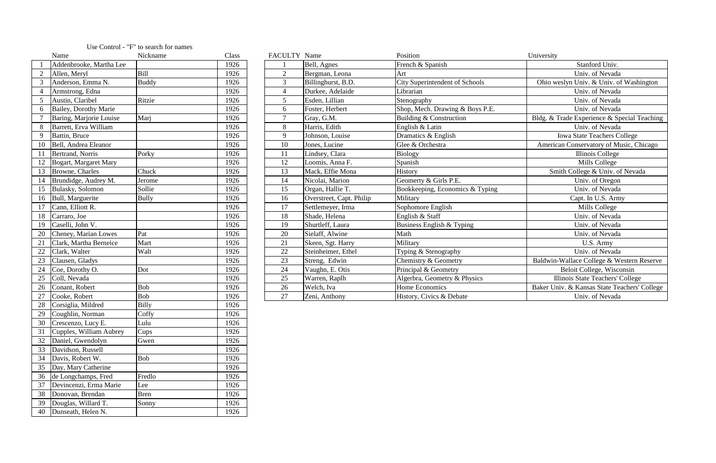|    | Name                         | Nickname     | Class | FACULTY Name   |                          | Position                        | University                                   |
|----|------------------------------|--------------|-------|----------------|--------------------------|---------------------------------|----------------------------------------------|
|    | Addenbrooke, Martha Lee      |              | 1926  |                | Bell, Agnes              | French & Spanish                | Stanford Univ.                               |
|    | Allen, Meryl                 | Bill         | 1926  | $\overline{2}$ | Bergman, Leona           | Art                             | Univ. of Nevada                              |
|    | Anderson, Emma N.            | <b>Buddy</b> | 1926  | 3              | Billinghurst, B.D.       | City Superintendent of Schools  | Ohio weslyn Univ. & Univ. of Washington      |
|    | Armstrong, Edna              |              | 1926  |                | Durkee, Adelaide         | Librarian                       | Univ. of Nevada                              |
|    | Austin, Claribel             | Ritzie       | 1926  | 5              | Esden, Lillian           | Stenography                     | Univ. of Nevada                              |
| 6  | <b>Bailey, Dorothy Marie</b> |              | 1926  | 6              | Foster, Herbert          | Shop, Mech. Drawing & Boys P.E. | Univ. of Nevada                              |
|    | Baring, Marjorie Louise      | Marj         | 1926  | $\overline{7}$ | Gray, G.M.               | Building & Construction         | Bldg. & Trade Experience & Special Teaching  |
|    | Barrett, Erva William        |              | 1926  | 8              | Harris, Edith            | English & Latin                 | Univ. of Nevada                              |
|    | Battin, Bruce                |              | 1926  | 9              | Johnson, Louise          | Dramatics & English             | Iowa State Teachers College                  |
|    | Bell, Andrea Eleanor         |              | 1926  | 10             | Jones, Lucine            | Glee & Orchestra                | American Conservatory of Music, Chicago      |
|    | Bertrand, Norris             | Porky        | 1926  | 11             | Lindsey, Clara           | Biology                         | Illinois College                             |
|    | <b>Bogart, Margaret Mary</b> |              | 1926  | 12             | Loomis, Anna F.          | Spanish                         | Mills College                                |
| 13 | Browne, Charles              | Chuck        | 1926  | 13             | Mack, Effie Mona         | History                         | Smith College & Univ. of Nevada              |
|    | Brundidge, Audrey M.         | Jerome       | 1926  | 14             | Nicolai, Marion          | Geomerty & Girls P.E.           | Univ. of Oregon                              |
|    | <b>Bulasky</b> , Solomon     | Sollie       | 1926  | 15             | Organ, Hallie T.         | Bookkeeping, Economics & Typing | Univ. of Nevada                              |
| 16 | Bull, Marguerite             | <b>Bully</b> | 1926  | 16             | Overstreet, Capt. Philip | Military                        | Capt. In U.S. Army                           |
|    | Cann, Elliott R.             |              | 1926  | 17             | Settlemeyer, Irma        | Sophomore English               | Mills College                                |
| 18 | Carraro, Joe                 |              | 1926  | 18             | Shade, Helena            | English & Staff                 | Univ. of Nevada                              |
| 19 | Caselli, John V.             |              | 1926  | 19             | Shurtleff, Laura         | Business English & Typing       | Univ. of Nevada                              |
|    | Cheney, Marian Lowes         | Pat          | 1926  | 20             | Sielaff, Alwine          | Math                            | Univ. of Nevada                              |
|    | Clark, Martha Berneice       | Mart         | 1926  | 21             | Skeen, Sgt. Harry        | Military                        | U.S. Army                                    |
|    | Clark, Walter                | Walt         | 1926  | 22             | Steinheimer, Ethel       | Typing & Stenography            | Univ. of Nevada                              |
|    | Clausen, Gladys              |              | 1926  | 23             | Streng, Edwin            | Chemistry & Geometry            | Baldwin-Wallace College & Western Reserve    |
|    | Coe, Dorothy O.              | Dot          | 1926  | 24             | Vaughn, E. Otis          | Principal & Geometry            | Beloit College, Wisconsin                    |
|    | Coll, Nevada                 |              | 1926  | 25             | Warren, Raplh            | Algerbra, Geometry & Physics    | Illinois State Teachers' College             |
| 26 | Conant, Robert               | Bob          | 1926  | 26             | Welch, Iva               | Home Economics                  | Baker Univ. & Kansas State Teachers' College |
| 27 | Cooke, Robert                | <b>Bob</b>   | 1926  | 27             | Zeni, Anthony            | History, Civics & Debate        | Univ. of Nevada                              |

|                | Name                    | Nickname     | Class |
|----------------|-------------------------|--------------|-------|
| $\mathbf{1}$   | Addenbrooke, Martha Lee |              | 1926  |
| $\overline{2}$ | Allen, Meryl            | <b>Bill</b>  | 1926  |
| 3              | Anderson, Emma N.       | <b>Buddy</b> | 1926  |
| $\overline{4}$ | Armstrong, Edna         |              | 1926  |
| 5              | Austin, Claribel        | Ritzie       | 1926  |
| 6              | Bailey, Dorothy Marie   |              | 1926  |
| 7              | Baring, Marjorie Louise | Marj         | 1926  |
| 8              | Barrett, Erva William   |              | 1926  |
| 9              | Battin, Bruce           |              | 1926  |
| 10             | Bell, Andrea Eleanor    |              | 1926  |
| 11             | Bertrand, Norris        | Porky        | 1926  |
| 12             | Bogart, Margaret Mary   |              | 1926  |
| 13             | Browne, Charles         | Chuck        | 1926  |
| 14             | Brundidge, Audrey M.    | Jerome       | 1926  |
| 15             | Bulasky, Solomon        | Sollie       | 1926  |
| 16             | Bull, Marguerite        | <b>Bully</b> | 1926  |
| 17             | Cann, Elliott R.        |              | 1926  |
| 18             | Carraro, Joe            |              | 1926  |
| 19             | Caselli, John V.        |              | 1926  |
| 20             | Cheney, Marian Lowes    | Pat          | 1926  |
| 21             | Clark, Martha Berneice  | Mart         | 1926  |
| 22             | Clark, Walter           | Walt         | 1926  |
| 23             | Clausen, Gladys         |              | 1926  |
| 24             | Coe, Dorothy O.         | Dot          | 1926  |
| 25             | Coll, Nevada            |              | 1926  |
| 26             | Conant, Robert          | Bob          | 1926  |
| 27             | Cooke, Robert           | Bob          | 1926  |
| 28             | Corsiglia, Mildred      | <b>Billy</b> | 1926  |
| 29             | Coughlin, Norman        | Coffy        | 1926  |
| 30             | Crescenzo, Lucy E.      | Lulu         | 1926  |
| 31             | Cupples, William Aubrey | Cups         | 1926  |
| 32             | Daniel, Gwendolyn       | Gwen         | 1926  |
| 33             | Davidson, Russell       |              | 1926  |
| 34             | Davis, Robert W.        | Bob          | 1926  |
| 35             | Day, Mary Catherine     |              | 1926  |
| 36             | de Longchamps, Fred     | Fredlo       | 1926  |
| 37             | Devincenzi, Erma Marie  | Lee          | 1926  |
| 38             | Donovan, Brendan        | Bren         | 1926  |
| 39             | Douglas, Willard T.     | Sonny        | 1926  |
| 40             | Dunseath, Helen N.      |              | 1926  |

## Use Control - "F" to search for names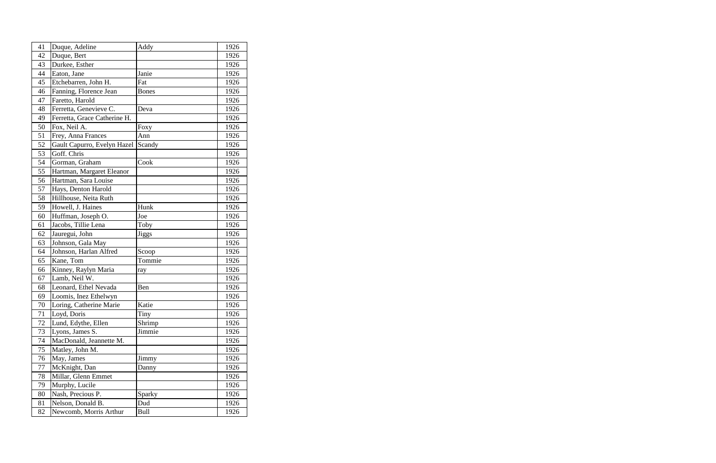| 41 | Duque, Adeline               | Addy         | 1926 |
|----|------------------------------|--------------|------|
| 42 | Duque, Bert                  |              | 1926 |
| 43 | Durkee, Esther               |              | 1926 |
| 44 | Eaton, Jane                  | Janie        | 1926 |
| 45 | Etchebarren, John H.         | Fat          | 1926 |
| 46 | Fanning, Florence Jean       | <b>Bones</b> | 1926 |
| 47 | Faretto, Harold              |              | 1926 |
| 48 | Ferretta, Genevieve C.       | Deva         | 1926 |
| 49 | Ferretta, Grace Catherine H. |              | 1926 |
| 50 | Fox, Neil A.                 | Foxy         | 1926 |
| 51 | Frey, Anna Frances           | Ann          | 1926 |
| 52 | Gault Capurro, Evelyn Hazel  | Scandy       | 1926 |
| 53 | Goff. Chris                  |              | 1926 |
| 54 | Gorman, Graham               | Cook         | 1926 |
| 55 | Hartman, Margaret Eleanor    |              | 1926 |
| 56 | Hartman, Sara Louise         |              | 1926 |
| 57 | Hays, Denton Harold          |              | 1926 |
| 58 | Hillhouse, Neita Ruth        |              | 1926 |
| 59 | Howell, J. Haines            | Hunk         | 1926 |
| 60 | Huffman, Joseph O.           | Joe          | 1926 |
| 61 | Jacobs, Tillie Lena          | Toby         | 1926 |
| 62 | Jauregui, John               | <b>Jiggs</b> | 1926 |
| 63 | Johnson, Gala May            |              | 1926 |
| 64 | Johnson, Harlan Alfred       | Scoop        | 1926 |
| 65 | Kane, Tom                    | Tommie       | 1926 |
| 66 | Kinney, Raylyn Maria         | ray          | 1926 |
| 67 | Lamb, Neil W.                |              | 1926 |
| 68 | Leonard, Ethel Nevada        | Ben          | 1926 |
| 69 | Loomis, Inez Ethelwyn        |              | 1926 |
| 70 | Loring, Catherine Marie      | Katie        | 1926 |
| 71 | Loyd, Doris                  | Tiny         | 1926 |
| 72 | Lund, Edythe, Ellen          | Shrimp       | 1926 |
| 73 | Lyons, James S.              | Jimmie       | 1926 |
| 74 | MacDonald, Jeannette M.      |              | 1926 |
| 75 | Matley, John M.              |              | 1926 |
| 76 | May, James                   | Jimmy        | 1926 |
| 77 | McKnight, Dan                | Danny        | 1926 |
| 78 | Millar, Glenn Emmet          |              | 1926 |
| 79 | Murphy, Lucile               |              | 1926 |
| 80 | Nash, Precious P.            | Sparky       | 1926 |
| 81 | Nelson, Donald B.            | Dud          | 1926 |
| 82 | Newcomb, Morris Arthur       | Bull         | 1926 |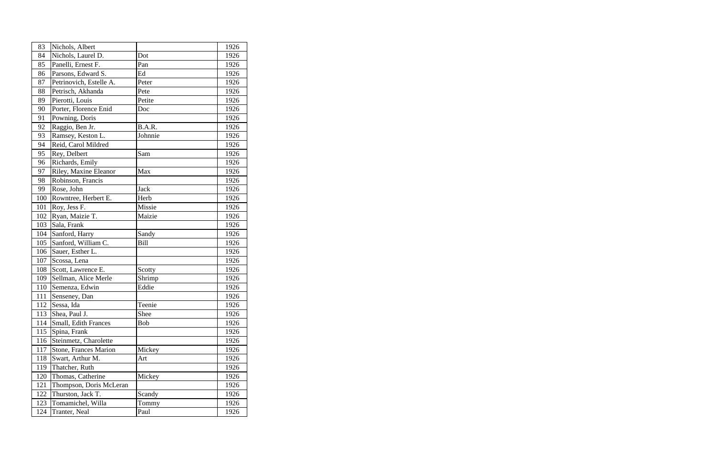| 83  | Nichols, Albert              |             | 1926 |
|-----|------------------------------|-------------|------|
| 84  | Nichols, Laurel D.           | Dot         | 1926 |
| 85  | Panelli, Ernest F.           | Pan         | 1926 |
| 86  | Parsons, Edward S.           | Ed          | 1926 |
| 87  | Petrinovich, Estelle A.      | Peter       | 1926 |
| 88  | Petrisch, Akhanda            | Pete        | 1926 |
| 89  | Pierotti, Louis              | Petite      | 1926 |
| 90  | Porter, Florence Enid        | Doc         | 1926 |
| 91  | Powning, Doris               |             | 1926 |
| 92  | Raggio, Ben Jr.              | B.A.R.      | 1926 |
| 93  | Ramsey, Keston L.            | Johnnie     | 1926 |
| 94  | Reid, Carol Mildred          |             | 1926 |
| 95  | Rey, Delbert                 | Sam         | 1926 |
| 96  | Richards, Emily              |             | 1926 |
| 97  | Riley, Maxine Eleanor        | Max         | 1926 |
| 98  | Robinson, Francis            |             | 1926 |
| 99  | Rose, John                   | <b>Jack</b> | 1926 |
| 100 | Rowntree, Herbert E.         | Herb        | 1926 |
| 101 | Roy, Jess F.                 | Missie      | 1926 |
| 102 | Ryan, Maizie T.              | Maizie      | 1926 |
| 103 | Sala, Frank                  |             | 1926 |
| 104 | Sanford, Harry               | Sandy       | 1926 |
| 105 | Sanford, William C.          | <b>Bill</b> | 1926 |
| 106 | Sauer, Esther L.             |             | 1926 |
| 107 | Scossa, Lena                 |             | 1926 |
| 108 | Scott, Lawrence E.           | Scotty      | 1926 |
| 109 | Sellman, Alice Merle         | Shrimp      | 1926 |
| 110 | Semenza, Edwin               | Eddie       | 1926 |
| 111 | Senseney, Dan                |             | 1926 |
| 112 | Sessa, Ida                   | Teenie      | 1926 |
| 113 | Shea, Paul J.                | Shee        | 1926 |
| 114 | Small, Edith Frances         | Bob         | 1926 |
| 115 | Spina, Frank                 |             | 1926 |
| 116 | Steinmetz, Charolette        |             | 1926 |
| 117 | <b>Stone, Frances Marion</b> | Mickey      | 1926 |
| 118 | Swart, Arthur M.             | Art         | 1926 |
| 119 | Thatcher, Ruth               |             | 1926 |
| 120 | Thomas, Catherine            | Mickey      | 1926 |
| 121 | Thompson, Doris McLeran      |             | 1926 |
| 122 | Thurston, Jack T.            | Scandy      | 1926 |
| 123 | Tomamichel, Willa            | Tommy       | 1926 |
| 124 | Tranter, Neal                | Paul        | 1926 |